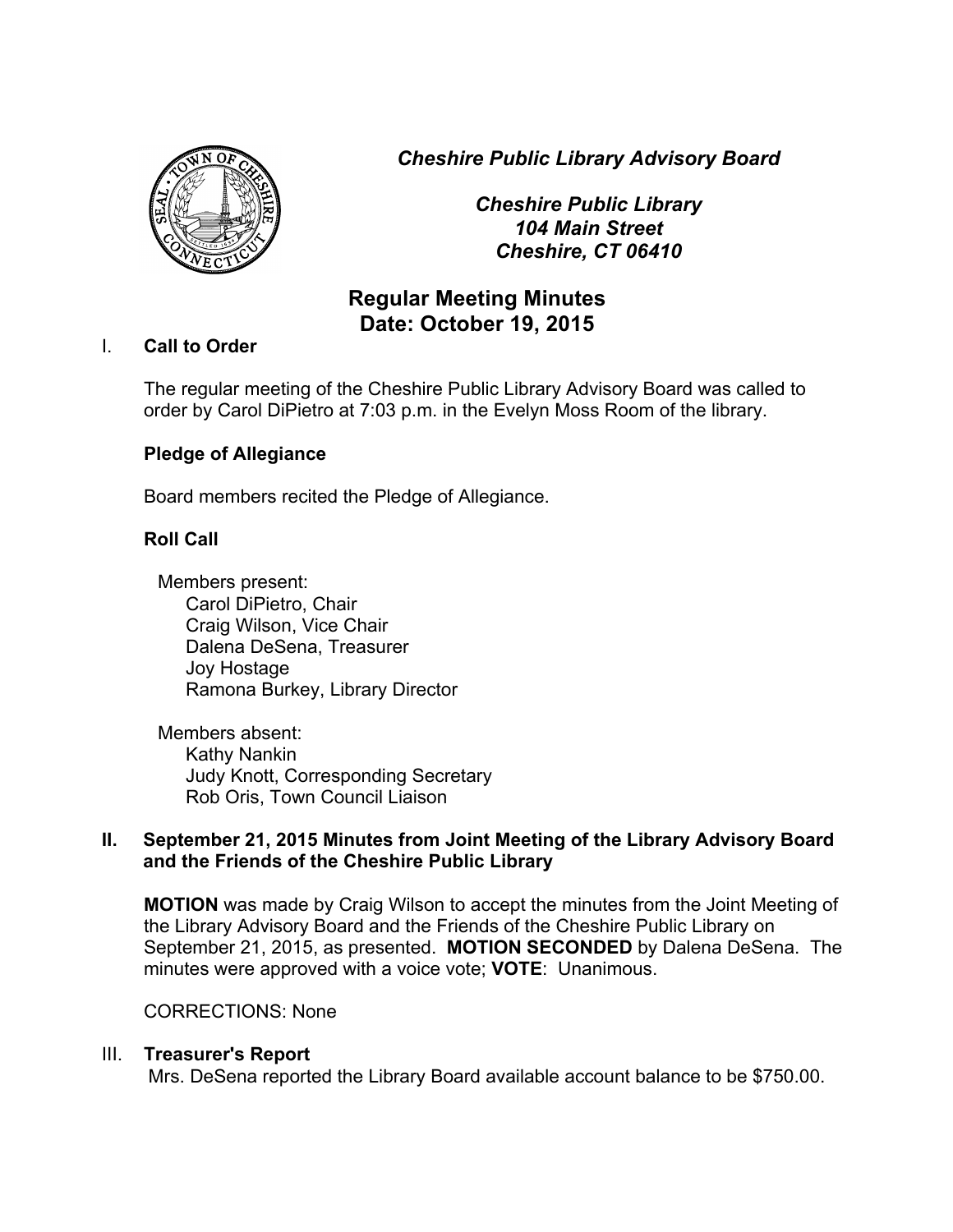*Cheshire Public Library Advisory Board*



*Cheshire Public Library 104 Main Street Cheshire, CT 06410*

# **Regular Meeting Minutes Date: October 19, 2015**

## I. **Call to Order**

The regular meeting of the Cheshire Public Library Advisory Board was called to order by Carol DiPietro at 7:03 p.m. in the Evelyn Moss Room of the library.

## **Pledge of Allegiance**

Board members recited the Pledge of Allegiance.

## **Roll Call**

Members present: Carol DiPietro, Chair Craig Wilson, Vice Chair Dalena DeSena, Treasurer Joy Hostage Ramona Burkey, Library Director

Members absent: Kathy Nankin Judy Knott, Corresponding Secretary Rob Oris, Town Council Liaison

## **II. September 21, 2015 Minutes from Joint Meeting of the Library Advisory Board and the Friends of the Cheshire Public Library**

**MOTION** was made by Craig Wilson to accept the minutes from the Joint Meeting of the Library Advisory Board and the Friends of the Cheshire Public Library on September 21, 2015, as presented. **MOTION SECONDED** by Dalena DeSena. The minutes were approved with a voice vote; **VOTE**: Unanimous.

### CORRECTIONS: None

## III. **Treasurer's Report**

Mrs. DeSena reported the Library Board available account balance to be \$750.00.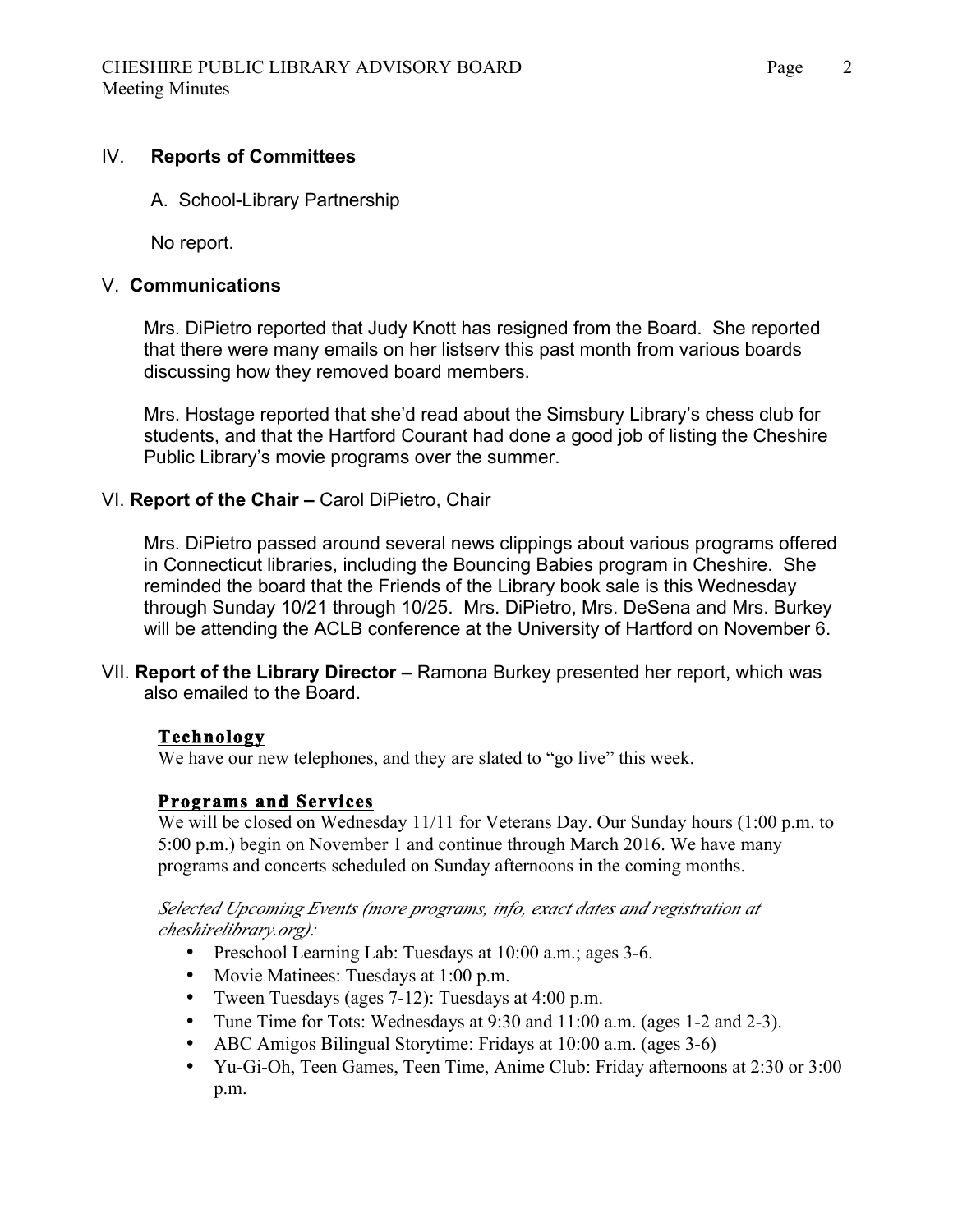#### IV. **Reports of Committees**

#### A. School-Library Partnership

No report.

#### V. **Communications**

Mrs. DiPietro reported that Judy Knott has resigned from the Board. She reported that there were many emails on her listserv this past month from various boards discussing how they removed board members.

Mrs. Hostage reported that she'd read about the Simsbury Library's chess club for students, and that the Hartford Courant had done a good job of listing the Cheshire Public Library's movie programs over the summer.

### VI. **Report of the Chair –** Carol DiPietro, Chair

Mrs. DiPietro passed around several news clippings about various programs offered in Connecticut libraries, including the Bouncing Babies program in Cheshire. She reminded the board that the Friends of the Library book sale is this Wednesday through Sunday 10/21 through 10/25. Mrs. DiPietro, Mrs. DeSena and Mrs. Burkey will be attending the ACLB conference at the University of Hartford on November 6.

VII. **Report of the Library Director –** Ramona Burkey presented her report, which was also emailed to the Board.

### **Technology**

We have our new telephones, and they are slated to "go live" this week.

### **Programs and Services**

We will be closed on Wednesday 11/11 for Veterans Day. Our Sunday hours (1:00 p.m. to 5:00 p.m.) begin on November 1 and continue through March 2016. We have many programs and concerts scheduled on Sunday afternoons in the coming months.

#### *Selected Upcoming Events (more programs, info, exact dates and registration at cheshirelibrary.org):*

- Preschool Learning Lab: Tuesdays at 10:00 a.m.; ages 3-6.
- Movie Matinees: Tuesdays at 1:00 p.m.
- Tween Tuesdays (ages 7-12): Tuesdays at 4:00 p.m.
- Tune Time for Tots: Wednesdays at 9:30 and 11:00 a.m. (ages 1-2 and 2-3).
- ABC Amigos Bilingual Storytime: Fridays at 10:00 a.m. (ages 3-6)
- Yu-Gi-Oh, Teen Games, Teen Time, Anime Club: Friday afternoons at 2:30 or 3:00 p.m.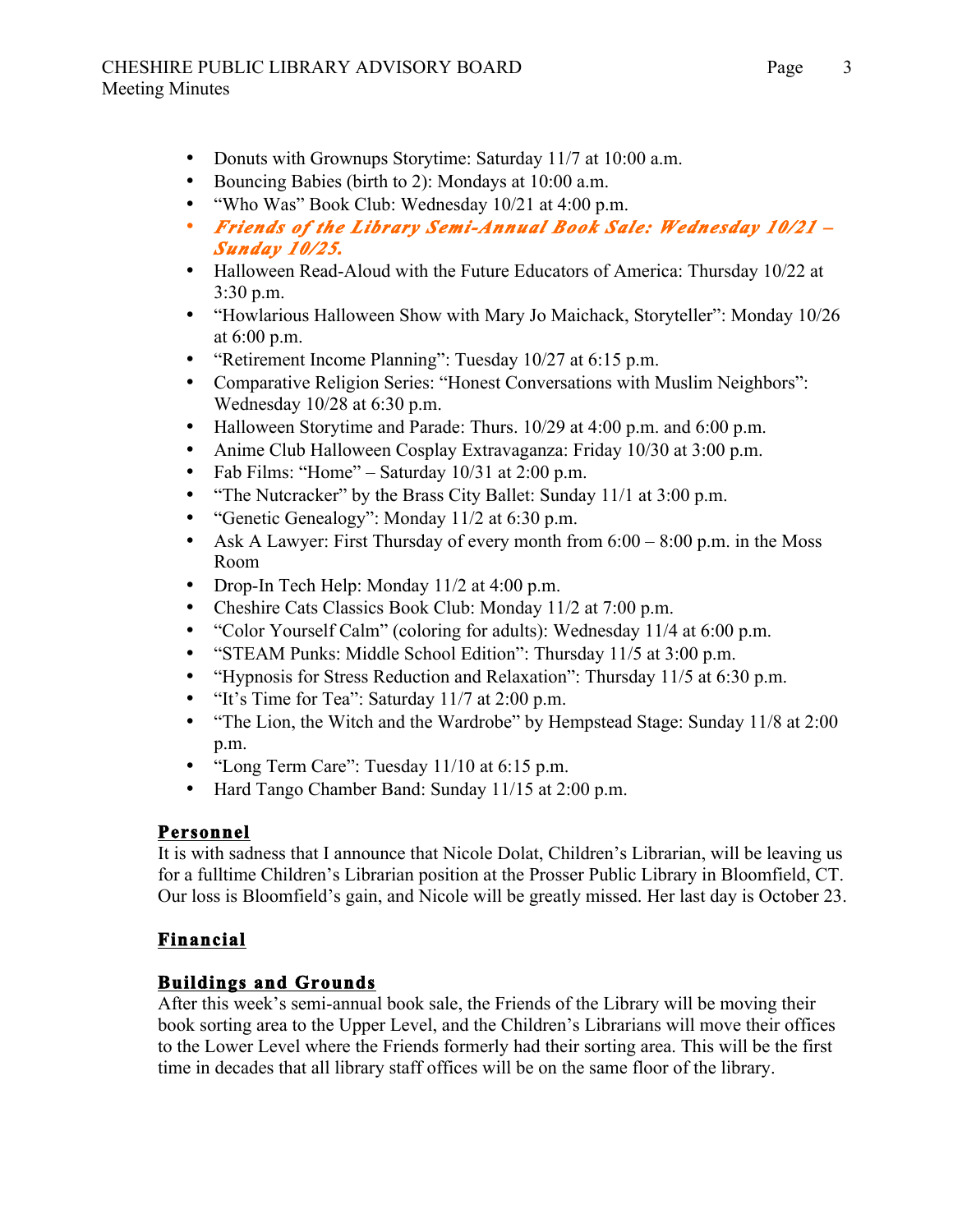## CHESHIRE PUBLIC LIBRARY ADVISORY BOARD Page Meeting Minutes

- Donuts with Grownups Storytime: Saturday 11/7 at 10:00 a.m.
- Bouncing Babies (birth to 2): Mondays at 10:00 a.m.
- "Who Was" Book Club: Wednesday 10/21 at 4:00 p.m.
- *Friends of the Library Semi-Annual Book Sale: Wednesday 10/21 Sunday 10/25.*
- Halloween Read-Aloud with the Future Educators of America: Thursday 10/22 at 3:30 p.m.
- "Howlarious Halloween Show with Mary Jo Maichack, Storyteller": Monday 10/26 at 6:00 p.m.
- "Retirement Income Planning": Tuesday 10/27 at 6:15 p.m.
- Comparative Religion Series: "Honest Conversations with Muslim Neighbors": Wednesday 10/28 at 6:30 p.m.
- Halloween Storytime and Parade: Thurs. 10/29 at 4:00 p.m. and 6:00 p.m.
- Anime Club Halloween Cosplay Extravaganza: Friday 10/30 at 3:00 p.m.
- Fab Films: "Home" Saturday 10/31 at 2:00 p.m.
- "The Nutcracker" by the Brass City Ballet: Sunday 11/1 at 3:00 p.m.
- "Genetic Genealogy": Monday 11/2 at 6:30 p.m.
- Ask A Lawyer: First Thursday of every month from  $6:00 8:00$  p.m. in the Moss Room
- Drop-In Tech Help: Monday 11/2 at 4:00 p.m.
- Cheshire Cats Classics Book Club: Monday 11/2 at 7:00 p.m.
- "Color Yourself Calm" (coloring for adults): Wednesday 11/4 at 6:00 p.m.
- "STEAM Punks: Middle School Edition": Thursday 11/5 at 3:00 p.m.
- "Hypnosis for Stress Reduction and Relaxation": Thursday 11/5 at 6:30 p.m.
- "It's Time for Tea": Saturday 11/7 at 2:00 p.m.
- "The Lion, the Witch and the Wardrobe" by Hempstead Stage: Sunday 11/8 at 2:00 p.m.
- "Long Term Care": Tuesday 11/10 at 6:15 p.m.
- Hard Tango Chamber Band: Sunday 11/15 at 2:00 p.m.

## **Personnel**

It is with sadness that I announce that Nicole Dolat, Children's Librarian, will be leaving us for a fulltime Children's Librarian position at the Prosser Public Library in Bloomfield, CT. Our loss is Bloomfield's gain, and Nicole will be greatly missed. Her last day is October 23.

## **Financial**

## **Buildings and Grounds**

After this week's semi-annual book sale, the Friends of the Library will be moving their book sorting area to the Upper Level, and the Children's Librarians will move their offices to the Lower Level where the Friends formerly had their sorting area. This will be the first time in decades that all library staff offices will be on the same floor of the library.